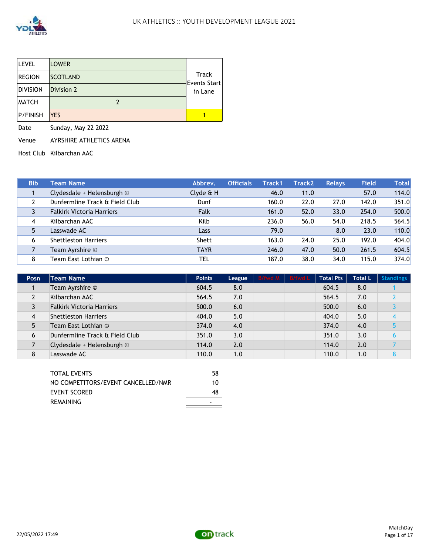

| <b>LEVEL</b>    | <b>LOWER</b>    |                       |
|-----------------|-----------------|-----------------------|
| <b>REGION</b>   | <b>SCOTLAND</b> | Track<br>Events Start |
| <b>DIVISION</b> | Division 2      | in Lane               |
| <b>MATCH</b>    |                 |                       |
| <b>P/FINISH</b> | <b>YES</b>      |                       |

Date Sunday, May 22 2022

Venue AYRSHIRE ATHLETICS ARENA

Host Club Kilbarchan AAC

| <b>Bib</b> | <b>Team Name</b>                 | Abbrev.      | <b>Officials</b> | Track1 | <b>Track2</b> | <b>Relavs</b> | <b>Field</b> | Totall |
|------------|----------------------------------|--------------|------------------|--------|---------------|---------------|--------------|--------|
|            | Clydesdale + Helensburgh ©       | $Clyde \& H$ |                  | 46.0   | 11.0          |               | 57.0         | 114.0  |
|            | Dunfermline Track & Field Club   | Dunf         |                  | 160.0  | 22.0          | 27.0          | 142.0        | 351.0  |
|            | <b>Falkirk Victoria Harriers</b> | Falk         |                  | 161.0  | 52.0          | 33.0          | 254.0        | 500.0  |
| 4          | Kilbarchan AAC                   | Kilb         |                  | 236.0  | 56.0          | 54.0          | 218.5        | 564.5  |
| 5          | Lasswade AC                      | <b>Lass</b>  |                  | 79.0   |               | 8.0           | 23.0         | 110.0  |
| 6          | <b>Shettleston Harriers</b>      | Shett        |                  | 163.0  | 24.0          | 25.0          | 192.0        | 404.0  |
|            | Team Ayrshire ©                  | <b>TAYR</b>  |                  | 246.0  | 47.0          | 50.0          | 261.5        | 604.5  |
| 8          | Team East Lothian ©              | TEL          |                  | 187.0  | 38.0          | 34.0          | 115.0        | 374.0  |

| Posn | <b>Team Name</b>                 | <b>Points</b> | League | B/fwd M B/fwd L | <b>Total Pts</b> | <b>Total L</b> | <b>Standings</b> |
|------|----------------------------------|---------------|--------|-----------------|------------------|----------------|------------------|
|      | Team Ayrshire ©                  | 604.5         | 8.0    |                 | 604.5            | 8.0            |                  |
|      | Kilbarchan AAC                   | 564.5         | 7.0    |                 | 564.5            | 7.0            |                  |
|      | <b>Falkirk Victoria Harriers</b> | 500.0         | 6.0    |                 | 500.0            | 6.0            |                  |
| 4    | <b>Shettleston Harriers</b>      | 404.0         | 5.0    |                 | 404.0            | 5.0            |                  |
|      | Team East Lothian ©              | 374.0         | 4.0    |                 | 374.0            | 4.0            |                  |
| 6    | Dunfermline Track & Field Club   | 351.0         | 3.0    |                 | 351.0            | 3.0            |                  |
|      | Clydesdale + Helensburgh ©       | 114.0         | 2.0    |                 | 114.0            | 2.0            |                  |
| 8    | Lasswade AC                      | 110.0         | 1.0    |                 | 110.0            | 1.0            |                  |

| TOTAL EVENTS                       | 58 |
|------------------------------------|----|
| NO COMPETITORS/EVENT CANCELLED/NMR | 10 |
| EVENT SCORED                       | 48 |
| REMAINING                          | -  |
|                                    |    |

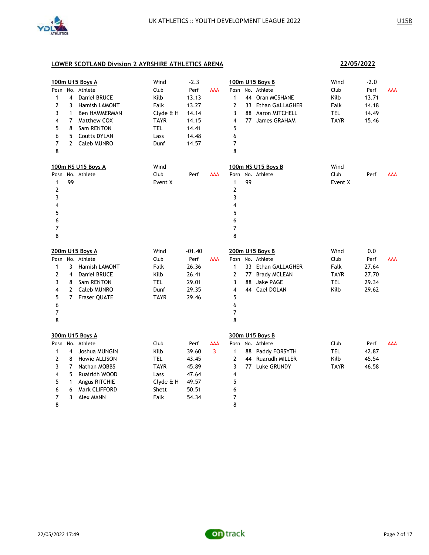

### **22/05/2022**

|                |                | 100m U15 Boys A      | Wind        | $-2.3$   |            |                |    | 100m U15 Boys B       | Wind        | $-2.0$ |            |
|----------------|----------------|----------------------|-------------|----------|------------|----------------|----|-----------------------|-------------|--------|------------|
| Posn           |                | No. Athlete          | Club        | Perf     | AAA        | Posn           |    | No. Athlete           | Club        | Perf   | <b>AAA</b> |
| 1              | 4              | Daniel BRUCE         | Kilb        | 13.13    |            | $\mathbf{1}$   |    | 44 Oran MCSHANE       | Kilb        | 13.71  |            |
| 2              | 3              | Hamish LAMONT        | Falk        | 13.27    |            | $\mathbf{2}$   |    | 33 Ethan GALLAGHER    | Falk        | 14.18  |            |
| 3              | $\mathbf{1}$   | <b>Ben HAMMERMAN</b> | Clyde & H   | 14.14    |            | 3              | 88 | <b>Aaron MITCHELL</b> | TEL         | 14.49  |            |
| 4              | $\overline{7}$ | Matthew COX          | <b>TAYR</b> | 14.15    |            | 4              |    | 77 James GRAHAM       | <b>TAYR</b> | 15.46  |            |
| 5              | 8              | Sam RENTON           | <b>TEL</b>  | 14.41    |            | 5              |    |                       |             |        |            |
| 6              | 5              | <b>Coutts DYLAN</b>  | Lass        | 14.48    |            | 6              |    |                       |             |        |            |
| $\overline{7}$ | $\mathcal{P}$  | Caleb MUNRO          | Dunf        | 14.57    |            | 7              |    |                       |             |        |            |
| 8              |                |                      |             |          |            | 8              |    |                       |             |        |            |
|                |                | 100m NS U15 Boys A   | Wind        |          |            |                |    | 100m NS U15 Boys B    | Wind        |        |            |
| Posn           |                | No. Athlete          | Club        | Perf     | <b>AAA</b> | Posn           |    | No. Athlete           | Club        | Perf   | <b>AAA</b> |
| 1              | 99             |                      | Event X     |          |            | 1              | 99 |                       | Event X     |        |            |
| 2              |                |                      |             |          |            | $\overline{2}$ |    |                       |             |        |            |
| 3              |                |                      |             |          |            | 3              |    |                       |             |        |            |
| 4              |                |                      |             |          |            | 4              |    |                       |             |        |            |
| 5              |                |                      |             |          |            | 5              |    |                       |             |        |            |
| 6              |                |                      |             |          |            | 6              |    |                       |             |        |            |
| 7              |                |                      |             |          |            | 7              |    |                       |             |        |            |
| 8              |                |                      |             |          |            | 8              |    |                       |             |        |            |
|                |                |                      |             |          |            |                |    |                       |             |        |            |
|                |                | 200m U15 Boys A      | Wind        | $-01.40$ |            |                |    | 200m U15 Boys B       | Wind        | 0.0    |            |
|                |                | Posn No. Athlete     | Club        | Perf     | <b>AAA</b> |                |    | Posn No. Athlete      | Club        | Perf   | <b>AAA</b> |
| 1              | 3              | <b>Hamish LAMONT</b> | Falk        | 26.36    |            | $\mathbf{1}$   |    | 33 Ethan GALLAGHER    | Falk        | 27.64  |            |
| 2              | 4              | Daniel BRUCE         | Kilb        | 26.41    |            | $\overline{2}$ |    | 77 Brady MCLEAN       | <b>TAYR</b> | 27.70  |            |
| 3              | 8              | Sam RENTON           | <b>TEL</b>  | 29.01    |            | 3              | 88 | Jake PAGE             | <b>TEL</b>  | 29.34  |            |
| 4              | $\overline{2}$ | <b>Caleb MUNRO</b>   | Dunf        | 29.35    |            | 4              | 44 | Cael DOLAN            | Kilb        | 29.62  |            |
| 5              |                | 7 Fraser QUATE       | <b>TAYR</b> | 29.46    |            | 5              |    |                       |             |        |            |
| 6              |                |                      |             |          |            | 6              |    |                       |             |        |            |
| $\overline{7}$ |                |                      |             |          |            | $\overline{7}$ |    |                       |             |        |            |
| 8              |                |                      |             |          |            | 8              |    |                       |             |        |            |
|                |                | 300m U15 Boys A      |             |          |            |                |    | 300m U15 Boys B       |             |        |            |
|                |                | Posn No. Athlete     | Club        | Perf     | AAA        |                |    | Posn No. Athlete      | Club        | Perf   | <b>AAA</b> |
| 1              | 4              | Joshua MUNGIN        | Kilb        | 39.60    | 3          | $\mathbf{1}$   |    | 88 Paddy FORSYTH      | <b>TEL</b>  | 42.87  |            |
| 2              | 8              | Howie ALLISON        | TEL         | 43.45    |            | $\overline{2}$ |    | 44 Ruarudh MILLER     | Kilb        | 45.54  |            |
| 3              | 7              | Nathan MOBBS         | <b>TAYR</b> | 45.89    |            | 3              |    | 77 Luke GRUNDY        | <b>TAYR</b> | 46.58  |            |
| 4              | 5              | Ruairidh WOOD        | Lass        | 47.64    |            | 4              |    |                       |             |        |            |
| 5              | 1              | Angus RITCHIE        | Clyde & H   | 49.57    |            | 5              |    |                       |             |        |            |
| 6              | 6              | Mark CLIFFORD        | Shett       | 50.51    |            | 6              |    |                       |             |        |            |
| 7<br>8         | 3              | <b>Alex MANN</b>     | Falk        | 54.34    |            | 7<br>8         |    |                       |             |        |            |

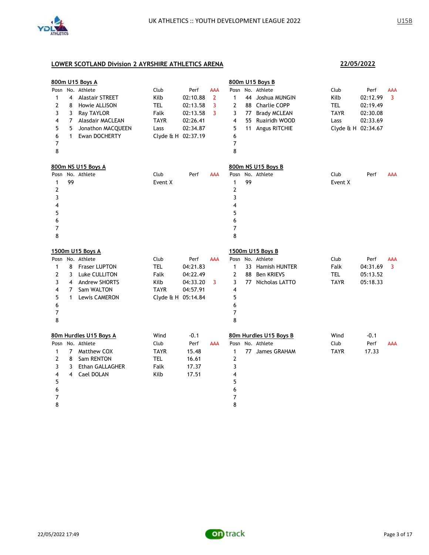

|                |                | 800m U15 Boys A        |                    |          |                |                         |    | 800m U15 Boys B        |                    |          |            |
|----------------|----------------|------------------------|--------------------|----------|----------------|-------------------------|----|------------------------|--------------------|----------|------------|
| Posn           |                | No. Athlete            | Club               | Perf     | AAA            | Posn                    |    | No. Athlete            | Club               | Perf     | AAA        |
| $\mathbf{1}$   | 4              | <b>Alastair STREET</b> | Kilb               | 02:10.88 | $\overline{2}$ | $\mathbf{1}$            |    | 44 Joshua MUNGIN       | Kilb               | 02:12.99 | 3          |
| 2              | 8              | Howie ALLISON          | <b>TEL</b>         | 02:13.58 | 3              | 2                       | 88 | <b>Charlie COPP</b>    | <b>TEL</b>         | 02:19.49 |            |
| 3              | 3              | <b>Ray TAYLOR</b>      | Falk               | 02:13.58 | 3              | 3                       | 77 | <b>Brady MCLEAN</b>    | <b>TAYR</b>        | 02:30.08 |            |
| 4              | 7              | Alasdair MACLEAN       | <b>TAYR</b>        | 02:26.41 |                | 4                       | 55 | Ruairidh WOOD          | Lass               | 02:33.69 |            |
| 5              | 5              | Jonathon MACQUEEN      | Lass               | 02:34.87 |                | 5                       | 11 | Angus RITCHIE          | Clyde & H 02:34.67 |          |            |
| 6              | $\mathbf{1}$   | Ewan DOCHERTY          | Clyde & H 02:37.19 |          |                | 6                       |    |                        |                    |          |            |
| 7              |                |                        |                    |          |                | 7                       |    |                        |                    |          |            |
| 8              |                |                        |                    |          |                | 8                       |    |                        |                    |          |            |
|                |                | 800m NS U15 Boys A     |                    |          |                |                         |    | 800m NS U15 Boys B     |                    |          |            |
| Posn           |                | No. Athlete            | Club               | Perf     | <b>AAA</b>     | Posn                    |    | No. Athlete            | Club               | Perf     | AAA        |
| $\mathbf{1}$   | 99             |                        | Event X            |          |                | $\mathbf{1}$            | 99 |                        | Event X            |          |            |
| 2              |                |                        |                    |          |                | $\mathbf{2}$            |    |                        |                    |          |            |
| 3              |                |                        |                    |          |                | 3                       |    |                        |                    |          |            |
| 4              |                |                        |                    |          |                | $\overline{\mathbf{4}}$ |    |                        |                    |          |            |
| 5              |                |                        |                    |          |                | 5                       |    |                        |                    |          |            |
| 6              |                |                        |                    |          |                | 6                       |    |                        |                    |          |            |
| 7              |                |                        |                    |          |                | 7                       |    |                        |                    |          |            |
| 8              |                |                        |                    |          |                | 8                       |    |                        |                    |          |            |
|                |                | 1500m U15 Boys A       |                    |          |                |                         |    | 1500m U15 Boys B       |                    |          |            |
|                |                | Posn No. Athlete       | Club               | Perf     | <b>AAA</b>     | Posn                    |    | No. Athlete            | Club               | Perf     | <b>AAA</b> |
| 1              | 8              | <b>Fraser LUPTON</b>   | <b>TEL</b>         | 04:21.83 |                | $\mathbf{1}$            |    | 33 Hamish HUNTER       | Falk               | 04:31.69 | 3          |
| $\overline{2}$ | 3              | Luke CULLITON          | Falk               | 04:22.49 |                | $\overline{2}$          | 88 | <b>Ben KRIEVS</b>      | <b>TEL</b>         | 05:13.52 |            |
| 3              | 4              | <b>Andrew SHORTS</b>   | Kilb               | 04:33.20 | 3              | 3                       |    | 77 Nicholas LATTO      | <b>TAYR</b>        | 05:18.33 |            |
| 4              | 7              | Sam WALTON             | <b>TAYR</b>        | 04:57.91 |                | 4                       |    |                        |                    |          |            |
| 5              | $\mathbf{1}$   | Lewis CAMERON          | Clyde & H 05:14.84 |          |                | 5                       |    |                        |                    |          |            |
| 6              |                |                        |                    |          |                | 6                       |    |                        |                    |          |            |
| 7              |                |                        |                    |          |                | 7                       |    |                        |                    |          |            |
| 8              |                |                        |                    |          |                | 8                       |    |                        |                    |          |            |
|                |                | 80m Hurdles U15 Boys A | Wind               | $-0.1$   |                |                         |    | 80m Hurdles U15 Boys B | Wind               | $-0.1$   |            |
| Posn           |                | No. Athlete            | Club               | Perf     | <b>AAA</b>     | Posn                    |    | No. Athlete            | Club               | Perf     | <b>AAA</b> |
| 1              | $\overline{7}$ | Matthew COX            | <b>TAYR</b>        | 15.48    |                | $\mathbf{1}$            |    | 77 James GRAHAM        | <b>TAYR</b>        | 17.33    |            |
| 2              | 8              | Sam RENTON             | <b>TEL</b>         | 16.61    |                | $\overline{2}$          |    |                        |                    |          |            |
| 3              | 3              | Ethan GALLAGHER        | Falk               | 17.37    |                | 3                       |    |                        |                    |          |            |
| 4              | 4              | Cael DOLAN             | Kilb               | 17.51    |                | 4                       |    |                        |                    |          |            |
| 5              |                |                        |                    |          |                | 5                       |    |                        |                    |          |            |
| 6              |                |                        |                    |          |                | 6                       |    |                        |                    |          |            |
| 7              |                |                        |                    |          |                | 7                       |    |                        |                    |          |            |
| 8              |                |                        |                    |          |                | 8                       |    |                        |                    |          |            |
|                |                |                        |                    |          |                |                         |    |                        |                    |          |            |

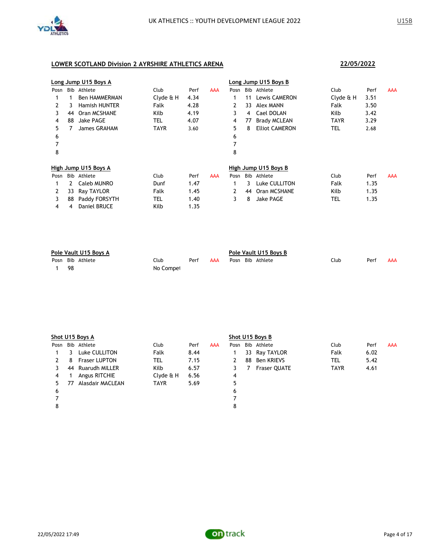

|      |    | Long Jump U15 Boys A |            |      |            |      |    | Long Jump U15 Boys B  |             |      |     |
|------|----|----------------------|------------|------|------------|------|----|-----------------------|-------------|------|-----|
| Posn |    | Bib Athlete          | Club       | Perf | <b>AAA</b> | Posn |    | Bib Athlete           | <b>Club</b> | Perf | AAA |
|      |    | <b>Ben HAMMERMAN</b> | Clyde & H  | 4.34 |            |      | 11 | Lewis CAMERON         | Clyde & H   | 3.51 |     |
| 2    | 3  | <b>Hamish HUNTER</b> | Falk       | 4.28 |            | 2    | 33 | Alex MANN             | Falk        | 3.50 |     |
| 3    | 44 | Oran MCSHANE         | Kilb       | 4.19 |            | 3    | 4  | Cael DOLAN            | Kilb        | 3.42 |     |
| 4    | 88 | Jake PAGE            | <b>TEL</b> | 4.07 |            | 4    | 77 | <b>Brady MCLEAN</b>   | <b>TAYR</b> | 3.29 |     |
| 5.   |    | James GRAHAM         | TAYR       | 3.60 |            | 5.   | 8  | <b>Elliot CAMERON</b> | tel         | 2.68 |     |
| 6    |    |                      |            |      |            | 6    |    |                       |             |      |     |
|      |    |                      |            |      |            |      |    |                       |             |      |     |
| 8    |    |                      |            |      |            | 8    |    |                       |             |      |     |
|      |    | High Jump U15 Boys A |            |      |            |      |    | High Jump U15 Boys B  |             |      |     |
| Posn |    | Bib Athlete          | Club       | Perf | <b>AAA</b> | Posn |    | Bib Athlete           | Club        | Perf | AAA |
|      | 2  | Caleb MUNRO          | Dunf       | 1.47 |            |      | 3. | Luke CULLITON         | Falk        | 1.35 |     |
|      | 33 | Ray TAYLOR           | Falk       | 1.45 |            | 2    | 44 | Oran MCSHANE          | Kilb        | 1.35 |     |
| 3    | 88 | Paddy FORSYTH        | <b>TEL</b> | 1.40 |            | 3    | 8  | <b>Jake PAGE</b>      | TEL         | 1.35 |     |
| 4    | 4  | <b>Daniel BRUCE</b>  | Kilb       | 1.35 |            |      |    |                       |             |      |     |

| Pole Vault U15 Boys A |                  |           |      |     | Pole Vault U15 Boys B |  |                  |      |      |     |
|-----------------------|------------------|-----------|------|-----|-----------------------|--|------------------|------|------|-----|
|                       | Posn Bib Athlete | Club      | Perf | AAA |                       |  | Posn Bib Athlete | Club | Perf | AAA |
| -98                   |                  | No Compet |      |     |                       |  |                  |      |      |     |

|      | Shot U15 Boys A |                      |             |      |            |      | Shot U15 Boys B |                     |             |      |            |  |
|------|-----------------|----------------------|-------------|------|------------|------|-----------------|---------------------|-------------|------|------------|--|
| Posn |                 | Bib Athlete          | Club        | Perf | <b>AAA</b> | Posn |                 | Bib Athlete         | Club        | Perf | <b>AAA</b> |  |
|      | 3               | Luke CULLITON        | Falk        | 8.44 |            |      |                 | 33 Ray TAYLOR       | Falk        | 6.02 |            |  |
| 2    | 8               | <b>Fraser LUPTON</b> | tel         | 7.15 |            | 2    |                 | 88 Ben KRIEVS       | TEL         | 5.42 |            |  |
|      |                 | 44 Ruarudh MILLER    | Kilb        | 6.57 |            |      | 7               | <b>Fraser QUATE</b> | <b>TAYR</b> | 4.61 |            |  |
| 4    |                 | Angus RITCHIE        | Clyde & H   | 6.56 |            | 4    |                 |                     |             |      |            |  |
| 5.   | 77              | Alasdair MACLEAN     | <b>TAYR</b> | 5.69 |            | 5    |                 |                     |             |      |            |  |
| 6    |                 |                      |             |      |            | 6    |                 |                     |             |      |            |  |
|      |                 |                      |             |      |            |      |                 |                     |             |      |            |  |
| 8    |                 |                      |             |      |            | 8    |                 |                     |             |      |            |  |
|      |                 |                      |             |      |            |      |                 |                     |             |      |            |  |

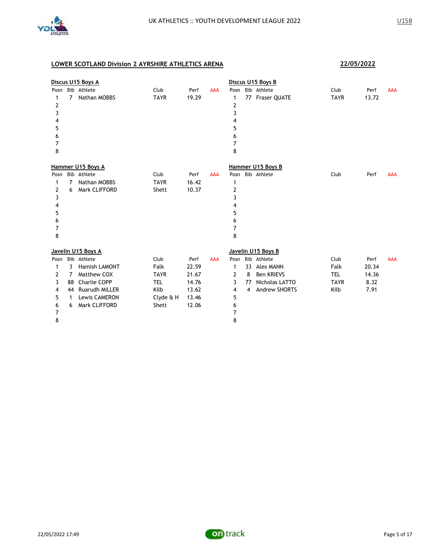

|                                              |                              | Discus U15 Boys A                                                                                                      |                                                                         |                                                            |            |                                              |                    | Discus U15 Boys B                                                                              |                                                   |                                        |            |
|----------------------------------------------|------------------------------|------------------------------------------------------------------------------------------------------------------------|-------------------------------------------------------------------------|------------------------------------------------------------|------------|----------------------------------------------|--------------------|------------------------------------------------------------------------------------------------|---------------------------------------------------|----------------------------------------|------------|
| 1<br>2<br>3<br>4<br>5<br>6<br>7<br>8         | $\overline{7}$               | Posn Bib Athlete<br>Nathan MOBBS                                                                                       | Club<br><b>TAYR</b>                                                     | Perf<br>19.29                                              | <b>AAA</b> | 1<br>2<br>3<br>4<br>5<br>6<br>7<br>8         |                    | Posn Bib Athlete<br>77 Fraser QUATE                                                            | Club<br><b>TAYR</b>                               | Perf<br>13.72                          | <b>AAA</b> |
|                                              |                              | Hammer U15 Boys A                                                                                                      |                                                                         |                                                            |            |                                              |                    | Hammer U15 Boys B                                                                              |                                                   |                                        |            |
| 1<br>2<br>3<br>4<br>5<br>6<br>7<br>8         | 7<br>6                       | Posn Bib Athlete<br>Nathan MOBBS<br>Mark CLIFFORD                                                                      | Club<br><b>TAYR</b><br>Shett                                            | Perf<br>16.42<br>10.37                                     | <b>AAA</b> | 1<br>2<br>3<br>4<br>5<br>6<br>7<br>8         |                    | Posn Bib Athlete                                                                               | Club                                              | Perf                                   | <b>AAA</b> |
|                                              |                              | Javelin U15 Boys A                                                                                                     |                                                                         |                                                            |            |                                              |                    | Javelin U15 Boys B                                                                             |                                                   |                                        |            |
| Posn<br>1<br>2<br>3<br>4<br>5<br>6<br>7<br>8 | 3<br>7<br>88<br>44<br>1<br>6 | Bib Athlete<br>Hamish LAMONT<br>Matthew COX<br>Charlie COPP<br>Ruarudh MILLER<br><b>Lewis CAMERON</b><br>Mark CLIFFORD | Club<br>Falk<br><b>TAYR</b><br><b>TEL</b><br>Kilb<br>Clyde & H<br>Shett | Perf<br>22.59<br>21.67<br>14.76<br>13.62<br>13.46<br>12.06 | <b>AAA</b> | Posn<br>1<br>2<br>3<br>4<br>5<br>6<br>7<br>8 | 33<br>8<br>77<br>4 | Bib Athlete<br><b>Alex MANN</b><br><b>Ben KRIEVS</b><br>Nicholas LATTO<br><b>Andrew SHORTS</b> | Club<br>Falk<br><b>TEL</b><br><b>TAYR</b><br>Kilb | Perf<br>20.34<br>14.36<br>8.32<br>7.91 | <b>AAA</b> |

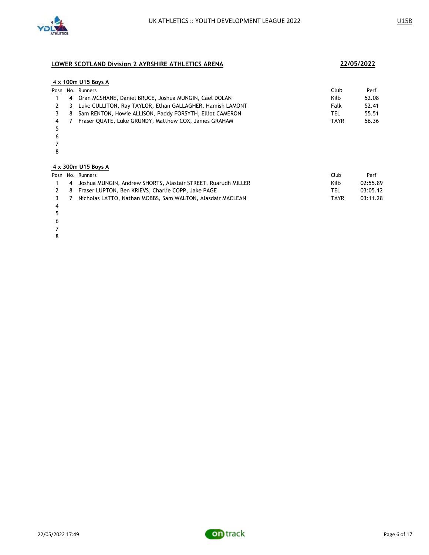

|               |    | 4 x 100m U15 Boys A                                       |             |       |
|---------------|----|-----------------------------------------------------------|-------------|-------|
|               |    | Posn No. Runners                                          | Club        | Perf  |
|               | 4  | Oran MCSHANE, Daniel BRUCE, Joshua MUNGIN, Cael DOLAN     | Kilb        | 52.08 |
| $\mathcal{P}$ | 3. | Luke CULLITON, Ray TAYLOR, Ethan GALLAGHER, Hamish LAMONT | Falk        | 52.41 |
| 3             | 8  | Sam RENTON, Howie ALLISON, Paddy FORSYTH, Elliot CAMERON  | TEL         | 55.51 |
| 4             |    | Fraser QUATE, Luke GRUNDY, Matthew COX, James GRAHAM      | <b>TAYR</b> | 56.36 |
| 5             |    |                                                           |             |       |
| 6             |    |                                                           |             |       |
|               |    |                                                           |             |       |
| 8             |    |                                                           |             |       |
|               |    |                                                           |             |       |

### **4 x 300m U15 Boys A**

|     | Posn No. Runners                                                | Club       | Perf     |
|-----|-----------------------------------------------------------------|------------|----------|
|     | 4 Joshua MUNGIN, Andrew SHORTS, Alastair STREET, Ruarudh MILLER | Kilb       | 02:55.89 |
|     | 2 8 Fraser LUPTON, Ben KRIEVS, Charlie COPP, Jake PAGE          | <b>TEL</b> | 03:05.12 |
| 3 7 | Nicholas LATTO, Nathan MOBBS, Sam WALTON, Alasdair MACLEAN      | TAYR       | 03:11.28 |
|     |                                                                 |            |          |

 

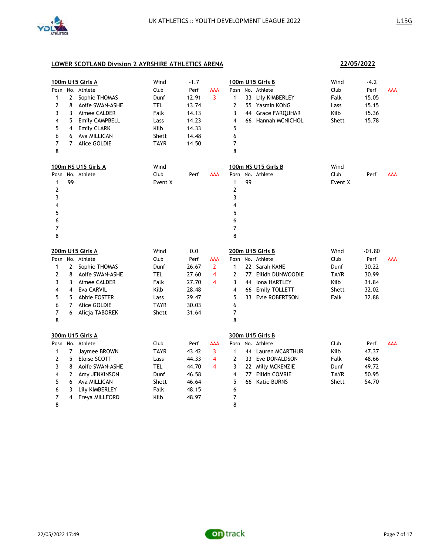

**22/05/2022**

|                |                | 100m U15 Girls A    | Wind        | $-1.7$ |                |                         |    | 100m U15 Girls B      | Wind        | $-4.2$   |            |
|----------------|----------------|---------------------|-------------|--------|----------------|-------------------------|----|-----------------------|-------------|----------|------------|
| Posn           |                | No. Athlete         | Club        | Perf   | AAA            | Posn                    |    | No. Athlete           | Club        | Perf     | <b>AAA</b> |
| 1              | 2              | Sophie THOMAS       | Dunf        | 12.91  | 3              | 1                       |    | 33 Lily KIMBERLEY     | Falk        | 15.05    |            |
| 2              | 8              | Aoife SWAN-ASHE     | <b>TEL</b>  | 13.74  |                | 2                       |    | 55 Yasmin KONG        | Lass        | 15.15    |            |
| 3              | 3              | Aimee CALDER        | Falk        | 14.13  |                | 3                       | 44 | <b>Grace FARQUHAR</b> | Kilb        | 15.36    |            |
| 4              | 5              | Emily CAMPBELL      | Lass        | 14.23  |                | $\overline{\mathbf{4}}$ |    | 66 Hannah MCNICHOL    | Shett       | 15.78    |            |
| 5              | 4              | <b>Emily CLARK</b>  | Kilb        | 14.33  |                | 5                       |    |                       |             |          |            |
| 6              | 6              | Ava MILLICAN        | Shett       | 14.48  |                | 6                       |    |                       |             |          |            |
| $\overline{7}$ |                | 7 Alice GOLDIE      | <b>TAYR</b> | 14.50  |                | $\overline{7}$          |    |                       |             |          |            |
| 8              |                |                     |             |        |                | 8                       |    |                       |             |          |            |
|                |                | 100m NS U15 Girls A | Wind        |        |                |                         |    | 100m NS U15 Girls B   | Wind        |          |            |
| Posn           |                | No. Athlete         | Club        | Perf   | AAA            | Posn                    |    | No. Athlete           | Club        | Perf     | <b>AAA</b> |
| 1              | 99             |                     | Event X     |        |                | 1                       | 99 |                       | Event X     |          |            |
| 2              |                |                     |             |        |                | $\overline{2}$          |    |                       |             |          |            |
| 3              |                |                     |             |        |                | 3                       |    |                       |             |          |            |
| 4              |                |                     |             |        |                | 4                       |    |                       |             |          |            |
| 5              |                |                     |             |        |                | 5                       |    |                       |             |          |            |
| 6              |                |                     |             |        |                | 6                       |    |                       |             |          |            |
| $\overline{7}$ |                |                     |             |        |                | 7                       |    |                       |             |          |            |
| 8              |                |                     |             |        |                | 8                       |    |                       |             |          |            |
|                |                | 200m U15 Girls A    | Wind        | 0.0    |                |                         |    | 200m U15 Girls B      | Wind        | $-01.80$ |            |
| Posn           |                | No. Athlete         | Club        | Perf   | AAA            | Posn                    |    | No. Athlete           | Club        | Perf     | <b>AAA</b> |
| 1              | 2              | Sophie THOMAS       | Dunf        | 26.67  | $\overline{2}$ | $\mathbf{1}$            |    | 22 Sarah KANE         | Dunf        | 30.22    |            |
| 2              | 8              | Aoife SWAN-ASHE     | <b>TEL</b>  | 27.60  | 4              | $\overline{2}$          | 77 | Eilidh DUNWOODIE      | <b>TAYR</b> | 30.99    |            |
| 3              | 3              | Aimee CALDER        | Falk        | 27.70  | 4              | 3                       | 44 | Iona HARTLEY          | Kilb        | 31.84    |            |
| 4              | 4              | Eva CARVIL          | Kilb        | 28.48  |                | 4                       |    | 66 Emily TOLLETT      | Shett       | 32.02    |            |
| 5              | 5              | Abbie FOSTER        | Lass        | 29.47  |                | 5                       |    | 33 Evie ROBERTSON     | Falk        | 32.88    |            |
| 6              | $\overline{7}$ | <b>Alice GOLDIE</b> | <b>TAYR</b> | 30.03  |                | 6                       |    |                       |             |          |            |
| 7              | 6              | Alicja TABOREK      | Shett       | 31.64  |                | 7                       |    |                       |             |          |            |
| 8              |                |                     |             |        |                | 8                       |    |                       |             |          |            |
|                |                | 300m U15 Girls A    |             |        |                |                         |    | 300m U15 Girls B      |             |          |            |
| Posn           |                | No. Athlete         | Club        | Perf   | AAA            | Posn                    |    | No. Athlete           | Club        | Perf     | <b>AAA</b> |
| 1              | 7              | Jaymee BROWN        | <b>TAYR</b> | 43.42  | 3              | $\mathbf{1}$            |    | 44 Lauren MCARTHUR    | Kilb        | 47.37    |            |
| 2              | 5              | <b>Eloise SCOTT</b> | Lass        | 44.33  | 4              | 2                       |    | 33 Eve DONALDSON      | Falk        | 48.66    |            |
| 3              | 8              | Aoife SWAN-ASHE     | <b>TEL</b>  | 44.70  | 4              | 3                       |    | 22 Milly MCKENZIE     | Dunf        | 49.72    |            |
| 4              | 2              | Amy JENKINSON       | Dunf        | 46.58  |                | 4                       | 77 | Eilidh COMRIE         | <b>TAYR</b> | 50.95    |            |
| 5              | 6              | Ava MILLICAN        | Shett       | 46.64  |                | 5                       | 66 | <b>Katie BURNS</b>    | Shett       | 54.70    |            |
| 6              | 3              | Lily KIMBERLEY      | Falk        | 48.15  |                | 6                       |    |                       |             |          |            |
| 7              | 4              | Freya MILLFORD      | Kilb        | 48.97  |                | 7                       |    |                       |             |          |            |
| 8              |                |                     |             |        |                | 8                       |    |                       |             |          |            |

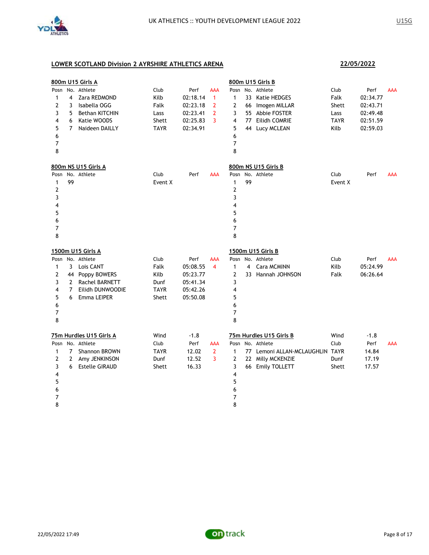

|                |                | 800m U15 Girls A        |             |          |                |                |    | 800m U15 Girls B                |             |          |            |
|----------------|----------------|-------------------------|-------------|----------|----------------|----------------|----|---------------------------------|-------------|----------|------------|
| Posn           |                | No. Athlete             | Club        | Perf     | <b>AAA</b>     | Posn           |    | No. Athlete                     | Club        | Perf     | <b>AAA</b> |
| $\mathbf 1$    | 4              | Zara REDMOND            | Kilb        | 02:18.14 | $\mathbf{1}$   | $\mathbf{1}$   | 33 | Katie HEDGES                    | Falk        | 02:34.77 |            |
| $\overline{2}$ | 3              | Isabella OGG            | Falk        | 02:23.18 | $\overline{2}$ | 2              | 66 | Imogen MILLAR                   | Shett       | 02:43.71 |            |
| 3              | 5              | Bethan KITCHIN          | Lass        | 02:23.41 | $\overline{2}$ | 3              |    | 55 Abbie FOSTER                 | Lass        | 02:49.48 |            |
| 4              | 6              | Katie WOODS             | Shett       | 02:25.83 | 3              | 4              | 77 | Eilidh COMRIE                   | <b>TAYR</b> | 02:51.59 |            |
| 5              | $\overline{7}$ | Naideen DAILLY          | <b>TAYR</b> | 02:34.91 |                | 5              | 44 | Lucy MCLEAN                     | Kilb        | 02:59.03 |            |
| 6              |                |                         |             |          |                | 6              |    |                                 |             |          |            |
| 7              |                |                         |             |          |                | $\overline{7}$ |    |                                 |             |          |            |
| 8              |                |                         |             |          |                | 8              |    |                                 |             |          |            |
|                |                | 800m NS U15 Girls A     |             |          |                |                |    | 800m NS U15 Girls B             |             |          |            |
| Posn           |                | No. Athlete             | Club        | Perf     | <b>AAA</b>     | Posn           |    | No. Athlete                     | Club        | Perf     | <b>AAA</b> |
| 1              | 99             |                         | Event X     |          |                | 1              | 99 |                                 | Event X     |          |            |
| $\overline{2}$ |                |                         |             |          |                | $\mathbf{2}$   |    |                                 |             |          |            |
| 3              |                |                         |             |          |                | 3              |    |                                 |             |          |            |
| 4              |                |                         |             |          |                | 4              |    |                                 |             |          |            |
| 5              |                |                         |             |          |                | 5              |    |                                 |             |          |            |
| 6              |                |                         |             |          |                | 6              |    |                                 |             |          |            |
| 7              |                |                         |             |          |                | 7              |    |                                 |             |          |            |
| 8              |                |                         |             |          |                | 8              |    |                                 |             |          |            |
|                |                |                         |             |          |                |                |    |                                 |             |          |            |
|                |                |                         |             |          |                |                |    |                                 |             |          |            |
|                |                | 1500m U15 Girls A       |             |          |                |                |    | 1500m U15 Girls B               |             |          |            |
|                |                | Posn No. Athlete        | Club        | Perf     | <b>AAA</b>     |                |    | Posn No. Athlete                | Club        | Perf     | <b>AAA</b> |
| 1              | 3              | Lois CANT               | Falk        | 05:08.55 | 4              | $\mathbf{1}$   | 4  | Cara MCMINN                     | Kilb        | 05:24.99 |            |
| 2              | 44             | Poppy BOWERS            | Kilb        | 05:23.77 |                | $\overline{2}$ |    | 33 Hannah JOHNSON               | Falk        | 06:26.64 |            |
| 3              | $\mathbf{2}$   | <b>Rachel BARNETT</b>   | Dunf        | 05:41.34 |                | 3              |    |                                 |             |          |            |
| 4              | 7              | Eilidh DUNWOODIE        | <b>TAYR</b> | 05:42.26 |                | 4              |    |                                 |             |          |            |
| 5              | 6              | Emma LEIPER             | Shett       | 05:50.08 |                | 5              |    |                                 |             |          |            |
| 6              |                |                         |             |          |                | 6              |    |                                 |             |          |            |
| 7<br>8         |                |                         |             |          |                | 7<br>8         |    |                                 |             |          |            |
|                |                |                         |             |          |                |                |    |                                 |             |          |            |
|                |                | 75m Hurdles U15 Girls A | Wind        | $-1.8$   |                |                |    | 75m Hurdles U15 Girls B         | Wind        | $-1.8$   |            |
| Posn           |                | No. Athlete             | Club        | Perf     | <b>AAA</b>     |                |    | Posn No. Athlete                | Club        | Perf     | <b>AAA</b> |
| 1              | 7              | Shannon BROWN           | <b>TAYR</b> | 12.02    | $\overline{2}$ | 1              |    | 77 Lemoni ALLAN-MCLAUGHLIN TAYR |             | 14.84    |            |
| $\overline{2}$ | $\overline{2}$ | Amy JENKINSON           | Dunf        | 12.52    | 3              | $\overline{2}$ |    | 22 Milly MCKENZIE               | Dunf        | 17.19    |            |
| 3              | 6              | <b>Estelle GIRAUD</b>   | Shett       | 16.33    |                | 3              |    | 66 Emily TOLLETT                | Shett       | 17.57    |            |
| 4              |                |                         |             |          |                | 4              |    |                                 |             |          |            |
| 5              |                |                         |             |          |                | 5              |    |                                 |             |          |            |
| 6              |                |                         |             |          |                | 6              |    |                                 |             |          |            |
| 7<br>8         |                |                         |             |          |                | 7<br>8         |    |                                 |             |          |            |

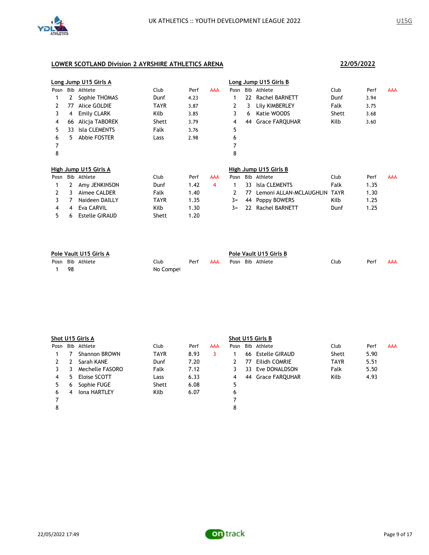

|      |    | Long Jump U15 Girls A |       |      |            |      |     | Long Jump U15 Girls B   |             |      |            |
|------|----|-----------------------|-------|------|------------|------|-----|-------------------------|-------------|------|------------|
| Posn |    | Bib Athlete           | Club  | Perf | <b>AAA</b> | Posn | Bib | Athlete                 | Club        | Perf | AAA        |
|      |    | Sophie THOMAS         | Dunf  | 4.23 |            |      | 22  | <b>Rachel BARNETT</b>   | Dunf        | 3.94 |            |
| 2    | 77 | Alice GOLDIE          | TAYR  | 3.87 |            | 2    | 3.  | Lily KIMBERLEY          | Falk        | 3.75 |            |
| 3    | 4  | <b>Emily CLARK</b>    | Kilb  | 3.85 |            | 3    | 6   | Katie WOODS             | Shett       | 3.68 |            |
| 4    | 66 | Alicja TABOREK        | Shett | 3.79 |            | 4    | 44  | <b>Grace FARQUHAR</b>   | Kilb        | 3.60 |            |
| 5    | 33 | <b>Isla CLEMENTS</b>  | Falk  | 3.76 |            | 5    |     |                         |             |      |            |
| 6    | 5. | Abbie FOSTER          | Lass  | 2.98 |            | 6    |     |                         |             |      |            |
| 7    |    |                       |       |      |            | 7    |     |                         |             |      |            |
| 8    |    |                       |       |      |            | 8    |     |                         |             |      |            |
|      |    | High Jump U15 Girls A |       |      |            |      |     | High Jump U15 Girls B   |             |      |            |
| Posn |    | Bib Athlete           | Club  | Perf | <b>AAA</b> | Posn |     | Bib Athlete             | Club        | Perf | <b>AAA</b> |
|      |    | Amy JENKINSON         | Dunf  | 1.42 | 4          | 1    | 33. | <b>Isla CLEMENTS</b>    | Falk        | 1.35 |            |
| 2    | 3  | Aimee CALDER          | Falk  | 1.40 |            | 2    | 77  | Lemoni ALLAN-MCLAUGHLIN | <b>TAYR</b> | 1.30 |            |
| 3    |    | Naideen DAILLY        | TAYR  | 1.35 |            | $3=$ | 44  | Poppy BOWERS            | Kilb        | 1.25 |            |
| 4    | 4  | <b>Eva CARVIL</b>     | Kilb  | 1.30 |            | $3=$ | 22  | <b>Rachel BARNETT</b>   | Dunf        | 1.25 |            |
| 5    | 6  | <b>Estelle GIRAUD</b> | Shett | 1.20 |            |      |     |                         |             |      |            |

| Pole Vault U15 Girls A |    |                  |           |      |     | Pole Vault U15 Girls B |  |                  |      |      |     |  |
|------------------------|----|------------------|-----------|------|-----|------------------------|--|------------------|------|------|-----|--|
|                        |    | Posn Bib Athlete | Club      | Perf | AAA |                        |  | Posn Bib Athlete | Club | Perf | AAA |  |
|                        | 98 |                  | No Compet |      |     |                        |  |                  |      |      |     |  |

|      | Shot U15 Girls A |                     |             |      |     | Shot U15 Girls B |     |                   |             |      |            |  |
|------|------------------|---------------------|-------------|------|-----|------------------|-----|-------------------|-------------|------|------------|--|
| Posn |                  | Bib Athlete         | Club        | Perf | AAA |                  |     | Posn Bib Athlete  | Club        | Perf | <b>AAA</b> |  |
|      |                  | Shannon BROWN       | <b>TAYR</b> | 8.93 | 3   |                  | 66  | Estelle GIRAUD    | Shett       | 5.90 |            |  |
|      |                  | Sarah KANE          | Dunf        | 7.20 |     |                  | 77  | Eilidh COMRIE     | <b>TAYR</b> | 5.51 |            |  |
| 3    | 3                | Mechelle FASORO     | Falk        | 7.12 |     | 3                | 33. | Eve DONALDSON     | Falk        | 5.50 |            |  |
| 4    | 5                | Eloise SCOTT        | Lass        | 6.33 |     | 4                |     | 44 Grace FARQUHAR | Kilb        | 4.93 |            |  |
| 5    | 6                | Sophie FUGE         | Shett       | 6.08 |     | 5                |     |                   |             |      |            |  |
| 6    | 4                | <b>Iona HARTLEY</b> | Kilb        | 6.07 |     | 6                |     |                   |             |      |            |  |
|      |                  |                     |             |      |     |                  |     |                   |             |      |            |  |
| 8    |                  |                     |             |      |     | 8                |     |                   |             |      |            |  |
|      |                  |                     |             |      |     |                  |     |                   |             |      |            |  |

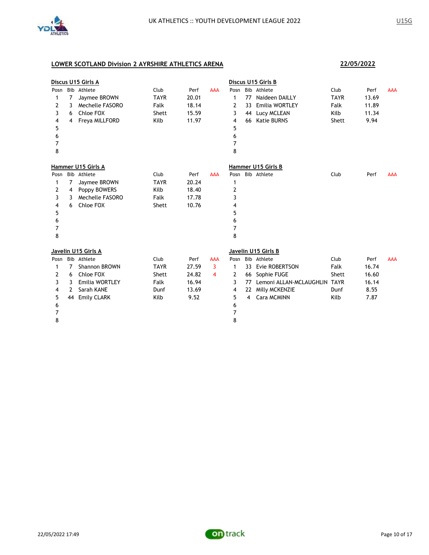

|      |    | Discus U15 Girls A     |             |       |            |      |    | Discus U15 Girls B           |             |       |            |
|------|----|------------------------|-------------|-------|------------|------|----|------------------------------|-------------|-------|------------|
| Posn |    | Bib Athlete            | Club        | Perf  | <b>AAA</b> | Posn |    | Bib Athlete                  | Club        | Perf  | <b>AAA</b> |
| 1    | 7  | Jaymee BROWN           | <b>TAYR</b> | 20.01 |            | 1    | 77 | Naideen DAILLY               | <b>TAYR</b> | 13.69 |            |
| 2    | 3  | <b>Mechelle FASORO</b> | Falk        | 18.14 |            | 2    | 33 | Emilia WORTLEY               | Falk        | 11.89 |            |
| 3    | 6  | Chloe FOX              | Shett       | 15.59 |            | 3    | 44 | Lucy MCLEAN                  | Kilb        | 11.34 |            |
| 4    | 4  | Freya MILLFORD         | Kilb        | 11.97 |            | 4    | 66 | <b>Katie BURNS</b>           | Shett       | 9.94  |            |
| 5    |    |                        |             |       |            | 5    |    |                              |             |       |            |
| 6    |    |                        |             |       |            | 6    |    |                              |             |       |            |
| 7    |    |                        |             |       |            | 7    |    |                              |             |       |            |
| 8    |    |                        |             |       |            | 8    |    |                              |             |       |            |
|      |    | Hammer U15 Girls A     |             |       |            |      |    | Hammer U15 Girls B           |             |       |            |
| Posn |    | Bib Athlete            | Club        | Perf  | <b>AAA</b> | Posn |    | Bib Athlete                  | Club        | Perf  | <b>AAA</b> |
| 1    | 7  | Jaymee BROWN           | <b>TAYR</b> | 20.24 |            | 1    |    |                              |             |       |            |
| 2    | 4  | Poppy BOWERS           | Kilb        | 18.40 |            | 2    |    |                              |             |       |            |
| 3    | 3  | <b>Mechelle FASORO</b> | Falk        | 17.78 |            | 3    |    |                              |             |       |            |
| 4    | 6  | Chloe FOX              | Shett       | 10.76 |            | 4    |    |                              |             |       |            |
| 5    |    |                        |             |       |            | 5    |    |                              |             |       |            |
| 6    |    |                        |             |       |            | 6    |    |                              |             |       |            |
| 7    |    |                        |             |       |            | 7    |    |                              |             |       |            |
| 8    |    |                        |             |       |            | 8    |    |                              |             |       |            |
|      |    | Javelin U15 Girls A    |             |       |            |      |    | Javelin U15 Girls B          |             |       |            |
|      |    | Posn Bib Athlete       | Club        | Perf  | <b>AAA</b> | Posn |    | Bib Athlete                  | Club        | Perf  | <b>AAA</b> |
| 1    | 7  | <b>Shannon BROWN</b>   | <b>TAYR</b> | 27.59 | 3          | 1    |    | 33 Evie ROBERTSON            | Falk        | 16.74 |            |
| 2    | 6  | Chloe FOX              | Shett       | 24.82 | 4          | 2    | 66 | Sophie FUGE                  | Shett       | 16.60 |            |
| 3    | 3  | <b>Emilia WORTLEY</b>  | Falk        | 16.94 |            | 3    | 77 | Lemoni ALLAN-MCLAUGHLIN TAYR |             | 16.14 |            |
| 4    | 2  | Sarah KANE             | Dunf        | 13.69 |            | 4    | 22 | Milly MCKENZIE               | Dunf        | 8.55  |            |
| 5    | 44 | <b>Emily CLARK</b>     | Kilb        | 9.52  |            | 5    | 4  | Cara MCMINN                  | Kilb        | 7.87  |            |
| 6    |    |                        |             |       |            | 6    |    |                              |             |       |            |
| 7    |    |                        |             |       |            | 7    |    |                              |             |       |            |
| 8    |    |                        |             |       |            | 8    |    |                              |             |       |            |
|      |    |                        |             |       |            |      |    |                              |             |       |            |

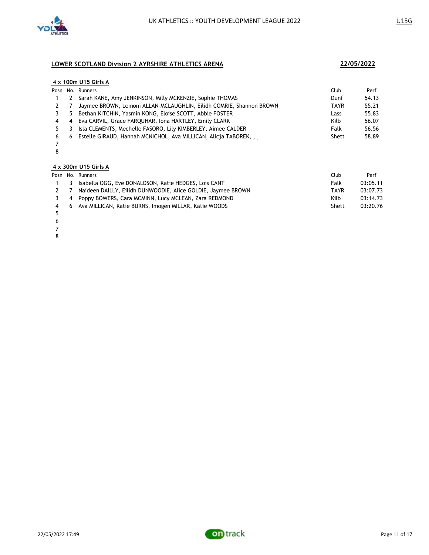

|      |    | 4 x 100m U15 Girls A                                                |             |       |
|------|----|---------------------------------------------------------------------|-------------|-------|
| Posn |    | No. Runners                                                         | Club        | Perf  |
|      |    | 2 Sarah KANE, Amy JENKINSON, Milly MCKENZIE, Sophie THOMAS          | Dunf        | 54.13 |
|      |    | Jaymee BROWN, Lemoni ALLAN-MCLAUGHLIN, Eilidh COMRIE, Shannon BROWN | <b>TAYR</b> | 55.21 |
| 3.   | 5. | Bethan KITCHIN, Yasmin KONG, Eloise SCOTT, Abbie FOSTER             | Lass        | 55.83 |
| 4    |    | 4 Eva CARVIL, Grace FARQUHAR, Iona HARTLEY, Emily CLARK             | Kilb        | 56.07 |
| 5.   | 3. | Isla CLEMENTS, Mechelle FASORO, Lily KIMBERLEY, Aimee CALDER        | Falk        | 56.56 |
| 6    | 6  | Estelle GIRAUD, Hannah MCNICHOL, Ava MILLICAN, Alicja TABOREK, , ,  | Shett       | 58.89 |
|      |    |                                                                     |             |       |

### **4 x 300m U15 Girls A**

|     |    | Posn No. Runners                                             | Club  | Perf     |
|-----|----|--------------------------------------------------------------|-------|----------|
|     | 3. | Isabella OGG, Eve DONALDSON, Katie HEDGES, Lois CANT         | Falk  | 03:05.11 |
|     |    | Naideen DAILLY, Eilidh DUNWOODIE, Alice GOLDIE, Jaymee BROWN | TAYR  | 03:07.73 |
| 3.  |    | 4 Poppy BOWERS, Cara MCMINN, Lucy MCLEAN, Zara REDMOND       | Kilb  | 03:14.73 |
| 4 6 |    | Ava MILLICAN, Katie BURNS, Imogen MILLAR, Katie WOODS        | Shett | 03:20.76 |
|     |    |                                                              |       |          |

- 
- 
- 
- 

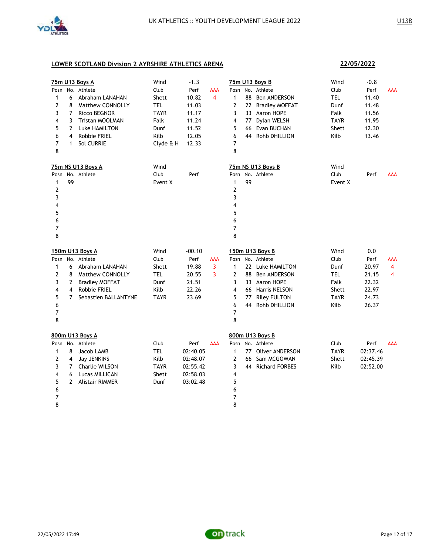

**22/05/2022**

| Posn<br>1<br>2<br>3<br>4<br>5<br>6<br>$\overline{7}$<br>8            | 6<br>8<br>$\overline{7}$<br>3<br>2<br>4<br>$\mathbf{1}$ | 75m U13 Boys A<br>No. Athlete<br>Abraham LANAHAN<br>Matthew CONNOLLY<br><b>Ricco BEGNOR</b><br>Tristan MOOLMAN<br>Luke HAMILTON<br><b>Robbie FRIEL</b><br><b>Sol CURRIE</b> | Wind<br>Club<br>Shett<br><b>TEL</b><br>TAYR<br>Falk<br>Dunf<br>Kilb<br>Clyde & H | $-1.3$<br>Perf<br>10.82<br>11.03<br>11.17<br>11.24<br>11.52<br>12.05<br>12.33 | <b>AAA</b><br>4 | Posn<br>$\mathbf{1}$<br>$\overline{2}$<br>3<br>4<br>5<br>6<br>7<br>8               | 88<br>77<br>66<br>44 | 75m U13 Boys B<br>No. Athlete<br>Ben ANDERSON<br>22 Bradley MOFFAT<br>33 Aaron HOPE<br>Dylan WELSH<br>Evan BUCHAN<br>Rohb DHILLION                   | Wind<br>Club<br>TEL<br>Dunf<br>Falk<br><b>TAYR</b><br>Shett<br>Kilb        | $-0.8$<br>Perf<br>11.40<br>11.48<br>11.56<br>11.95<br>12.30<br>13.46 | <b>AAA</b>                 |
|----------------------------------------------------------------------|---------------------------------------------------------|-----------------------------------------------------------------------------------------------------------------------------------------------------------------------------|----------------------------------------------------------------------------------|-------------------------------------------------------------------------------|-----------------|------------------------------------------------------------------------------------|----------------------|------------------------------------------------------------------------------------------------------------------------------------------------------|----------------------------------------------------------------------------|----------------------------------------------------------------------|----------------------------|
| Posn<br>$\mathbf{1}$<br>2<br>3<br>4<br>5<br>6<br>$\overline{7}$<br>8 | 99                                                      | 75m NS U13 Boys A<br>No. Athlete                                                                                                                                            | Wind<br>Club<br>Event X                                                          | Perf                                                                          |                 | Posn<br>$\mathbf{1}$<br>$\overline{2}$<br>3<br>4<br>5<br>6<br>$\overline{7}$<br>8  | 99                   | 75m NS U13 Boys B<br>No. Athlete                                                                                                                     | Wind<br>Club<br>Event X                                                    | Perf                                                                 | <b>AAA</b>                 |
| 1<br>2<br>3<br>4<br>5<br>6<br>7<br>8                                 | 6<br>8<br>2<br>$\overline{4}$<br>$7^{\circ}$            | 150m U13 Boys A<br>Posn No. Athlete<br>Abraham LANAHAN<br>Matthew CONNOLLY<br><b>Bradley MOFFAT</b><br>Robbie FRIEL<br>Sebastien BALLANTYNE                                 | Wind<br>Club<br>Shett<br><b>TEL</b><br>Dunf<br>Kilb<br>TAYR                      | $-00.10$<br>Perf<br>19.88<br>20.55<br>21.51<br>22.26<br>23.69                 | AAA<br>3<br>3   | $\mathbf{1}$<br>$\overline{2}$<br>3<br>$\overline{\mathbf{4}}$<br>5<br>6<br>7<br>8 | 88<br>77<br>44       | 150m U13 Boys B<br>Posn No. Athlete<br>22 Luke HAMILTON<br>Ben ANDERSON<br>33 Aaron HOPE<br>66 Harris NELSON<br><b>Riley FULTON</b><br>Rohb DHILLION | Wind<br>Club<br>Dunf<br><b>TEL</b><br>Falk<br>Shett<br><b>TAYR</b><br>Kilb | 0.0<br>Perf<br>20.97<br>21.15<br>22.32<br>22.97<br>24.73<br>26.37    | AAA<br>$\overline{4}$<br>4 |
| Posn<br>1<br>2<br>3<br>4<br>5<br>6<br>7<br>8                         | 8<br>4<br>$\overline{7}$<br>6<br>$\mathbf{2}$           | 800m U13 Boys A<br>No. Athlete<br>Jacob LAMB<br>Jay JENKINS<br>Charlie WILSON<br>Lucas MILLICAN<br><b>Alistair RIMMER</b>                                                   | Club<br><b>TEL</b><br>Kilb<br><b>TAYR</b><br>Shett<br>Dunf                       | Perf<br>02:40.05<br>02:48.07<br>02:55.42<br>02:58.03<br>03:02.48              | <b>AAA</b>      | Posn<br>1<br>$\mathbf{2}$<br>3<br>4<br>5<br>6<br>7<br>8                            | 66<br>44             | 800m U13 Boys B<br>No. Athlete<br>77 Oliver ANDERSON<br>Sam MCGOWAN<br><b>Richard FORBES</b>                                                         | Club<br><b>TAYR</b><br>Shett<br>Kilb                                       | Perf<br>02:37.46<br>02:45.39<br>02:52.00                             | <b>AAA</b>                 |

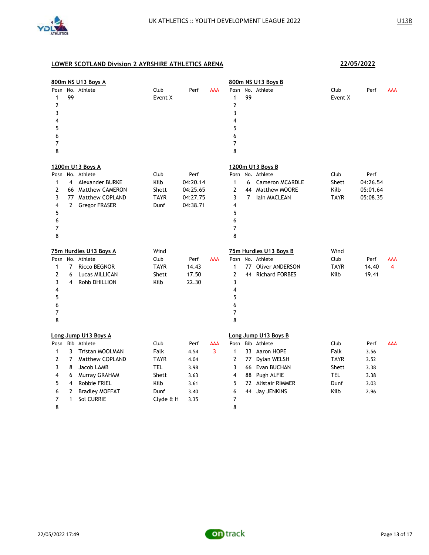

|              |              | 800m NS U13 Boys A     |                 |          |     |                      |                | 800m NS U13 Boys B     |                 |          |                |
|--------------|--------------|------------------------|-----------------|----------|-----|----------------------|----------------|------------------------|-----------------|----------|----------------|
| Posn<br>1    | 99           | No. Athlete            | Club<br>Event X | Perf     | AAA | Posn<br>$\mathbf{1}$ | 99             | No. Athlete            | Club<br>Event X | Perf     | AAA            |
| 2            |              |                        |                 |          |     | $\overline{2}$       |                |                        |                 |          |                |
| 3            |              |                        |                 |          |     | 3                    |                |                        |                 |          |                |
| 4            |              |                        |                 |          |     | $\overline{4}$       |                |                        |                 |          |                |
| 5            |              |                        |                 |          |     | 5                    |                |                        |                 |          |                |
| 6            |              |                        |                 |          |     | 6                    |                |                        |                 |          |                |
| 7            |              |                        |                 |          |     | $\overline{7}$       |                |                        |                 |          |                |
| 8            |              |                        |                 |          |     | 8                    |                |                        |                 |          |                |
|              |              | 1200m U13 Boys A       |                 |          |     |                      |                | 1200m U13 Boys B       |                 |          |                |
| Posn         |              | No. Athlete            | Club            | Perf     |     | Posn                 |                | No. Athlete            | Club            | Perf     |                |
| 1            | 4            | Alexander BURKE        | Kilb            | 04:20.14 |     | $\mathbf{1}$         | 6              | <b>Cameron MCARDLE</b> | Shett           | 04:26.54 |                |
| 2            |              | 66 Matthew CAMERON     | Shett           | 04:25.65 |     | $\overline{2}$       | 44             | Matthew MOORE          | Kilb            | 05:01.64 |                |
| 3            |              | 77 Matthew COPLAND     | <b>TAYR</b>     | 04:27.75 |     | 3                    | $\overline{7}$ | lain MACLEAN           | <b>TAYR</b>     | 05:08.35 |                |
| 4            | $\mathbf{2}$ | <b>Gregor FRASER</b>   | Dunf            | 04:38.71 |     | 4                    |                |                        |                 |          |                |
| 5            |              |                        |                 |          |     | 5                    |                |                        |                 |          |                |
| 6            |              |                        |                 |          |     | 6                    |                |                        |                 |          |                |
| 7<br>8       |              |                        |                 |          |     | 7<br>8               |                |                        |                 |          |                |
|              |              |                        |                 |          |     |                      |                |                        |                 |          |                |
|              |              | 75m Hurdles U13 Boys A | Wind            |          |     |                      |                | 75m Hurdles U13 Boys B | Wind            |          |                |
| Posn         |              | No. Athlete            | Club            | Perf     | AAA | Posn                 |                | No. Athlete            | Club            | Perf     | AAA            |
| 1            | 7            | Ricco BEGNOR           | <b>TAYR</b>     | 14.43    |     | $\mathbf{1}$         | 77             | <b>Oliver ANDERSON</b> | <b>TAYR</b>     | 14.40    | $\overline{4}$ |
| 2            | 6            | Lucas MILLICAN         | Shett           | 17.50    |     | $\overline{2}$       | 44             | <b>Richard FORBES</b>  | Kilb            | 19.41    |                |
| 3            | 4            | Rohb DHILLION          | Kilb            | 22.30    |     | 3                    |                |                        |                 |          |                |
| 4            |              |                        |                 |          |     | $\overline{4}$       |                |                        |                 |          |                |
| 5            |              |                        |                 |          |     | 5                    |                |                        |                 |          |                |
| 6            |              |                        |                 |          |     | 6                    |                |                        |                 |          |                |
| 7            |              |                        |                 |          |     | 7                    |                |                        |                 |          |                |
| 8            |              |                        |                 |          |     | 8                    |                |                        |                 |          |                |
|              |              | Long Jump U13 Boys A   |                 |          |     |                      |                | Long Jump U13 Boys B   |                 |          |                |
| Posn         |              | Bib Athlete            | Club            | Perf     | AAA | Posn                 |                | Bib Athlete            | Club            | Perf     | AAA            |
| $\mathbf{1}$ | 3            | <b>Tristan MOOLMAN</b> | Falk            | 4.54     | 3   | $\mathbf{1}$         |                | 33 Aaron HOPE          | Falk            | 3.56     |                |
| 2            | 7            | Matthew COPLAND        | <b>TAYR</b>     | 4.04     |     | $\overline{2}$       | 77             | Dylan WELSH            | <b>TAYR</b>     | 3.52     |                |
| 3            | 8            | Jacob LAMB             | <b>TEL</b>      | 3.98     |     | 3                    |                | 66 Evan BUCHAN         | Shett           | 3.38     |                |
| 4            | 6            | Murray GRAHAM          | Shett           | 3.63     |     | $\overline{4}$       |                | 88 Pugh ALFIE          | TEL             | 3.38     |                |
| 5            | 4            | <b>Robbie FRIEL</b>    | Kilb            | 3.61     |     | 5                    |                | 22 Alistair RIMMER     | Dunf            | 3.03     |                |
| 6            | 2            | <b>Bradley MOFFAT</b>  | Dunf            | 3.40     |     | 6                    |                | 44 Jay JENKINS         | Kilb            | 2.96     |                |
| 7            | 1            | Sol CURRIE             | Clyde & H       | 3.35     |     | 7                    |                |                        |                 |          |                |
| 8            |              |                        |                 |          |     | 8                    |                |                        |                 |          |                |

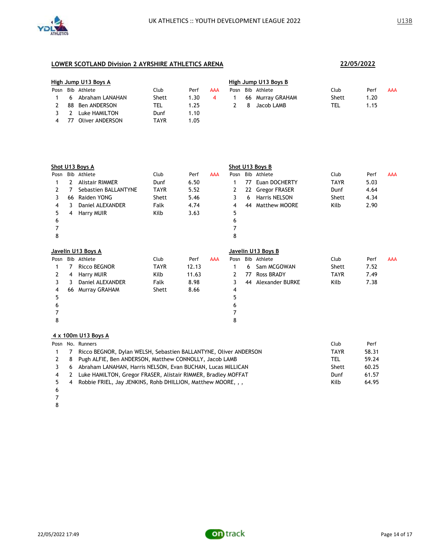

| High Jump U13 Boys A |                  |       |      | High Jump U13 Boys B |      |   |                  |       |       |     |  |
|----------------------|------------------|-------|------|----------------------|------|---|------------------|-------|-------|-----|--|
|                      | Posn Bib Athlete | Club  | Perf | AAA                  | Posn |   | Bib Athlete      | Club  | Perf  | AAA |  |
| 6.                   | Abraham LANAHAN  | Shett | 1.30 |                      |      |   | 66 Murray GRAHAM | Shett | 20. ا |     |  |
| 88                   | Ben ANDERSON     | TEL   | 1.25 |                      |      | 8 | Jacob LAMB       | TEL   | 1.15  |     |  |
|                      | Luke HAMILTON    | Dunf  | 1.10 |                      |      |   |                  |       |       |     |  |
| 77                   | Oliver ANDERSON  | TAYR  | 1.05 |                      |      |   |                  |       |       |     |  |

|      | Shot U13 Boys A |                        |             |       |            | Shot U13 Boys B |    |                      |             |      |            |
|------|-----------------|------------------------|-------------|-------|------------|-----------------|----|----------------------|-------------|------|------------|
| Posn |                 | Bib Athlete            | Club        | Perf  | <b>AAA</b> | Posn            |    | Bib Athlete          | Club        | Perf | <b>AAA</b> |
|      | 2               | <b>Alistair RIMMER</b> | Dunf        | 6.50  |            |                 | 77 | Euan DOCHERTY        | <b>TAYR</b> | 5.03 |            |
| 2    | 7               | Sebastien BALLANTYNE   | <b>TAYR</b> | 5.52  |            | 2               | 22 | <b>Gregor FRASER</b> | Dunf        | 4.64 |            |
| 3    | 66              | Raiden YONG            | Shett       | 5.46  |            | 3               | 6  | <b>Harris NELSON</b> | Shett       | 4.34 |            |
| 4    | 3.              | Daniel ALEXANDER       | Falk        | 4.74  |            | 4               | 44 | <b>Matthew MOORE</b> | Kilb        | 2.90 |            |
| 5    | 4               | <b>Harry MUIR</b>      | Kilb        | 3.63  |            | 5               |    |                      |             |      |            |
| 6    |                 |                        |             |       |            | 6               |    |                      |             |      |            |
|      |                 |                        |             |       |            |                 |    |                      |             |      |            |
| 8    |                 |                        |             |       |            | 8               |    |                      |             |      |            |
|      |                 | Javelin U13 Boys A     |             |       |            |                 |    | Javelin U13 Boys B   |             |      |            |
| Posn |                 | Bib Athlete            | Club        | Perf  | <b>AAA</b> | Posn            |    | Bib Athlete          | Club        | Perf | <b>AAA</b> |
|      |                 | <b>Ricco BEGNOR</b>    | <b>TAYR</b> | 12.13 |            | 1               | 6  | Sam MCGOWAN          | Shett       | 7.52 |            |
| 2    | 4               | Harry MUIR             | Kilb        | 11.63 |            | 2               | 77 | <b>Ross BRADY</b>    | <b>TAYR</b> | 7.49 |            |
| 3    | 3               | Daniel ALEXANDER       | Falk        | 8.98  |            | 3               | 44 | Alexander BURKE      | Kilb        | 7.38 |            |
| 4    | 66              | Murray GRAHAM          | Shett       | 8.66  |            | 4               |    |                      |             |      |            |
| 5    |                 |                        |             |       |            | 5               |    |                      |             |      |            |
| 6    |                 |                        |             |       |            |                 |    |                      |             |      |            |
|      |                 |                        |             |       |            |                 |    |                      |             |      |            |
| 8    |                 |                        |             |       |            | 8               |    |                      |             |      |            |
|      |                 |                        |             |       |            |                 |    |                      |             |      |            |

## **4 x 100m U13 Boys A**

|    |                | Posn No. Runners                                                 | Club        | Perf  |
|----|----------------|------------------------------------------------------------------|-------------|-------|
|    | $\overline{7}$ | Ricco BEGNOR, Dylan WELSH, Sebastien BALLANTYNE, Oliver ANDERSON | <b>TAYR</b> | 58.31 |
|    | - 8            | Pugh ALFIE, Ben ANDERSON, Matthew CONNOLLY, Jacob LAMB           | <b>TEL</b>  | 59.24 |
|    | -6             | Abraham LANAHAN, Harris NELSON, Evan BUCHAN, Lucas MILLICAN      | Shett       | 60.25 |
| 4  | $\overline{2}$ | Luke HAMILTON, Gregor FRASER, Alistair RIMMER, Bradley MOFFAT    | Dunf        | 61.57 |
| 5. | $\overline{4}$ | Robbie FRIEL, Jay JENKINS, Rohb DHILLION, Matthew MOORE, , ,     | Kilb        | 64.95 |
| 6  |                |                                                                  |             |       |

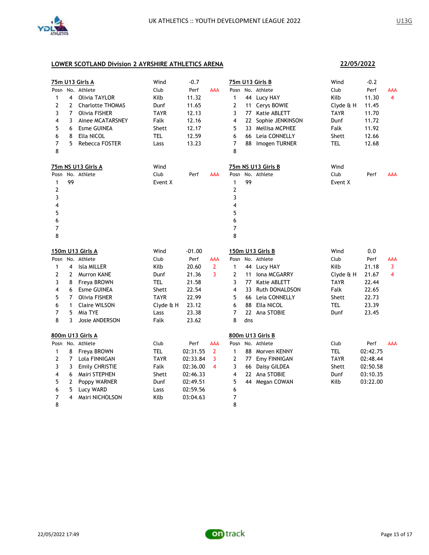

**22/05/2022**

|      |                | 75m U13 Girls A         | Wind        | $-0.7$   |                |                         |     | 75m U13 Girls B    | Wind        | $-0.2$   |     |
|------|----------------|-------------------------|-------------|----------|----------------|-------------------------|-----|--------------------|-------------|----------|-----|
| Posn |                | No. Athlete             | Club        | Perf     | <b>AAA</b>     | Posn                    |     | No. Athlete        | Club        | Perf     | AAA |
| 1    | 4              | Olivia TAYLOR           | Kilb        | 11.32    |                | 1                       |     | 44 Lucy HAY        | Kilb        | 11.30    | 4   |
| 2    | 2              | <b>Charlotte THOMAS</b> | Dunf        | 11.65    |                | 2                       | 11  | Cerys BOWIE        | Clyde & H   | 11.45    |     |
| 3    | $\overline{7}$ | <b>Olivia FISHER</b>    | TAYR        | 12.13    |                | 3                       | 77  | Katie ABLETT       | <b>TAYR</b> | 11.70    |     |
| 4    | 3              | Ainee MCATARSNEY        | Falk        | 12.16    |                | 4                       | 22  | Sophie JENKINSON   | Dunf        | 11.72    |     |
| 5    | 6              | <b>Esme GUINEA</b>      | Shett       | 12.17    |                | 5                       |     | 33 Mellisa MCPHEE  | Falk        | 11.92    |     |
| 6    | 8              | Ella NICOL              | <b>TEL</b>  | 12.59    |                | 6                       |     | 66 Leia CONNELLY   | Shett       | 12.66    |     |
| 7    | 5              | Rebecca FOSTER          | Lass        | 13.23    |                | $\overline{7}$          |     | 88 Imogen TURNER   | tel         | 12.68    |     |
| 8    |                |                         |             |          |                | 8                       |     |                    |             |          |     |
|      |                | 75m NS U13 Girls A      | Wind        |          |                |                         |     | 75m NS U13 Girls B | Wind        |          |     |
| Posn |                | No. Athlete             | Club        | Perf     | AAA            | Posn                    |     | No. Athlete        | Club        | Perf     | AAA |
| 1    | 99             |                         | Event X     |          |                | $\mathbf{1}$            | 99  |                    | Event X     |          |     |
| 2    |                |                         |             |          |                | $\overline{2}$          |     |                    |             |          |     |
| 3    |                |                         |             |          |                | 3                       |     |                    |             |          |     |
| 4    |                |                         |             |          |                | $\overline{\mathbf{4}}$ |     |                    |             |          |     |
| 5    |                |                         |             |          |                | 5                       |     |                    |             |          |     |
| 6    |                |                         |             |          |                | 6                       |     |                    |             |          |     |
| 7    |                |                         |             |          |                | 7                       |     |                    |             |          |     |
| 8    |                |                         |             |          |                | 8                       |     |                    |             |          |     |
|      |                | <u>150m U13 Girls A</u> | Wind        | $-01.00$ |                |                         |     | 150m U13 Girls B   | Wind        | 0.0      |     |
| Posn |                | No. Athlete             | Club        | Perf     | AAA            | Posn                    |     | No. Athlete        | Club        | Perf     | AAA |
| 1    | 4              | Isla MILLER             | Kilb        | 20.60    | $\overline{2}$ | $\mathbf{1}$            |     | 44 Lucy HAY        | Kilb        | 21.18    | 3   |
| 2    | 2              | <b>Murron KANE</b>      | Dunf        | 21.36    | 3              | 2                       | 11  | Iona MCGARRY       | Clyde & H   | 21.67    | 4   |
| 3    | 8              | Freya BROWN             | <b>TEL</b>  | 21.58    |                | 3                       | 77  | Katie ABLETT       | <b>TAYR</b> | 22.44    |     |
| 4    | 6              | <b>Esme GUINEA</b>      | Shett       | 22.54    |                | 4                       | 33  | Ruth DONALDSON     | Falk        | 22.65    |     |
| 5    | 7              | Olivia FISHER           | <b>TAYR</b> | 22.99    |                | 5                       |     | 66 Leia CONNELLY   | Shett       | 22.73    |     |
| 6    | $\mathbf{1}$   | <b>Claire WILSON</b>    | Clyde & H   | 23.12    |                | 6                       | 88  | Ella NICOL         | TEL         | 23.39    |     |
| 7    | 5              | Mia TYE                 | Lass        | 23.38    |                | 7                       |     | 22 Ana STOBIE      | Dunf        | 23.45    |     |
| 8    | 3              | <b>Josie ANDERSON</b>   | Falk        | 23.62    |                | 8                       | dns |                    |             |          |     |
|      |                | 800m U13 Girls A        |             |          |                |                         |     | 800m U13 Girls B   |             |          |     |
| Posn |                | No. Athlete             | Club        | Perf     | AAA            | Posn                    |     | No. Athlete        | Club        | Perf     | AAA |
| 1    | 8              | Freya BROWN             | <b>TEL</b>  | 02:31.55 | $\overline{2}$ | $\mathbf{1}$            |     | 88 Morven KENNY    | <b>TEL</b>  | 02:42.75 |     |
| 2    | $\overline{7}$ | Lola FINNIGAN           | TAYR        | 02:33.84 | 3              | 2                       | 77  | Emy FINNIGAN       | TAYR        | 02:48.44 |     |
| 3    | 3              | <b>Emily CHRISTIE</b>   | Falk        | 02:36.00 | 4              | 3                       | 66  | Daisy GILDEA       | Shett       | 02:50.58 |     |
| 4    | 6              | Mairi STEPHEN           | Shett       | 02:46.33 |                | 4                       |     | 22 Ana STOBIE      | Dunf        | 03:10.35 |     |
| 5    | $\mathbf{2}$   | Poppy WARNER            | Dunf        | 02:49.51 |                | 5                       |     | 44 Megan COWAN     | Kilb        | 03:22.00 |     |
| 6    | 5              | Lucy WARD               | Lass        | 02:59.56 |                | 6                       |     |                    |             |          |     |
| 7    | 4              | Mairi NICHOLSON         | Kilb        | 03:04.63 |                | 7                       |     |                    |             |          |     |
| 8    |                |                         |             |          |                | 8                       |     |                    |             |          |     |

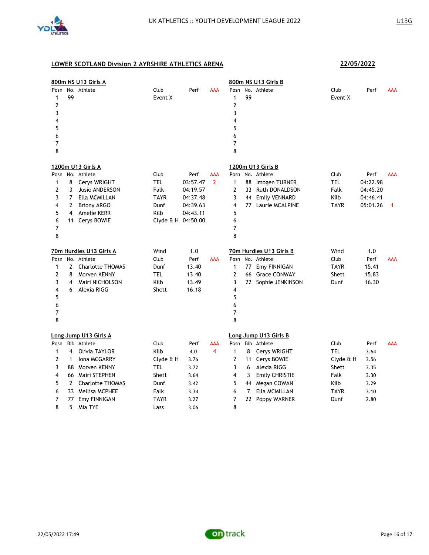

| 800m NS U13 Girls A                          |                                                 |                                                                                                                                                                 |                                                                                  |                                                                     |                       | 800m NS U13 Girls B                                                                                     |                              |                                                                                                                                       |                                                                                 |                                                              |                 |
|----------------------------------------------|-------------------------------------------------|-----------------------------------------------------------------------------------------------------------------------------------------------------------------|----------------------------------------------------------------------------------|---------------------------------------------------------------------|-----------------------|---------------------------------------------------------------------------------------------------------|------------------------------|---------------------------------------------------------------------------------------------------------------------------------------|---------------------------------------------------------------------------------|--------------------------------------------------------------|-----------------|
| Posn<br>1<br>2<br>3<br>4<br>5<br>6<br>7<br>8 | 99                                              | No. Athlete                                                                                                                                                     | Club<br>Event X                                                                  | Perf                                                                | AAA                   | Posn<br>$\mathbf{1}$<br>$\overline{2}$<br>3<br>$\overline{\mathbf{4}}$<br>5<br>6<br>$\overline{7}$<br>8 | 99                           | No. Athlete                                                                                                                           | Club<br>Event X                                                                 | Perf                                                         | AAA             |
|                                              |                                                 | 1200m U13 Girls A                                                                                                                                               |                                                                                  |                                                                     |                       |                                                                                                         |                              | 1200m U13 Girls B                                                                                                                     |                                                                                 |                                                              |                 |
| Posn<br>1<br>2<br>3<br>4<br>5<br>6<br>7<br>8 | 8<br>3<br>$\overline{7}$<br>2<br>4<br>11        | No. Athlete<br>Cerys WRIGHT<br>Josie ANDERSON<br>Ella MCMILLAN<br><b>Briony ARGO</b><br><b>Amelie KERR</b><br>Cerys BOWIE                                       | Club<br><b>TEL</b><br>Falk<br><b>TAYR</b><br>Dunf<br>Kilb<br>Clyde & H 04:50.00  | Perf<br>03:57.47<br>04:19.57<br>04:37.48<br>04:39.63<br>04:43.11    | AAA<br>$\overline{2}$ | Posn<br>$\mathbf{1}$<br>$\overline{2}$<br>3<br>$\overline{\mathbf{4}}$<br>5<br>6<br>7<br>8              | 88<br>33<br>44               | No. Athlete<br>Imogen TURNER<br>Ruth DONALDSON<br><b>Emily VENNARD</b><br>77 Laurie MCALPINE                                          | Club<br><b>TEL</b><br>Falk<br>Kilb<br><b>TAYR</b>                               | Perf<br>04:22.98<br>04:45.20<br>04:46.41<br>05:01.26         | <b>AAA</b><br>1 |
|                                              |                                                 | 70m Hurdles U13 Girls A                                                                                                                                         | Wind                                                                             | 1.0                                                                 |                       |                                                                                                         |                              | 70m Hurdles U13 Girls B                                                                                                               | Wind                                                                            | 1.0                                                          |                 |
| Posn<br>1<br>2<br>3<br>4<br>5<br>6<br>7<br>8 | $\mathbf{2}$<br>8<br>4<br>6                     | No. Athlete<br><b>Charlotte THOMAS</b><br>Morven KENNY<br>Mairi NICHOLSON<br>Alexia RIGG                                                                        | Club<br>Dunf<br>TEL<br>Kilb<br>Shett                                             | Perf<br>13.40<br>13.40<br>13.49<br>16.18                            | AAA                   | Posn<br>$\mathbf{1}$<br>$\overline{2}$<br>3<br>$\overline{4}$<br>5<br>6<br>7<br>8                       | 77                           | No. Athlete<br>Emy FINNIGAN<br>66 Grace CONWAY<br>22 Sophie JENKINSON                                                                 | Club<br><b>TAYR</b><br>Shett<br>Dunf                                            | Perf<br>15.41<br>15.83<br>16.30                              | AAA             |
|                                              |                                                 | Long Jump U13 Girls A                                                                                                                                           |                                                                                  |                                                                     |                       |                                                                                                         |                              | Long Jump U13 Girls B                                                                                                                 |                                                                                 |                                                              |                 |
| Posn<br>1<br>2<br>3<br>4<br>5<br>6<br>7<br>8 | 4<br>1<br>88<br>66<br>$\overline{2}$<br>77<br>5 | Bib Athlete<br>Olivia TAYLOR<br><b>Iona MCGARRY</b><br>Morven KENNY<br>Mairi STEPHEN<br><b>Charlotte THOMAS</b><br>33 Mellisa MCPHEE<br>Emy FINNIGAN<br>Mia TYE | Club<br>Kilb<br>Clyde & H<br><b>TEL</b><br>Shett<br>Dunf<br>Falk<br>TAYR<br>Lass | Perf<br>4.0<br>3.76<br>3.72<br>3.64<br>3.42<br>3.34<br>3.27<br>3.06 | AAA<br>4              | Posn<br>$\mathbf{1}$<br>$\overline{2}$<br>3<br>$\overline{\mathbf{4}}$<br>5<br>6<br>7<br>8              | 8<br>11<br>6<br>3<br>7<br>22 | Bib Athlete<br>Cerys WRIGHT<br>Cerys BOWIE<br>Alexia RIGG<br><b>Emily CHRISTIE</b><br>44 Megan COWAN<br>Ella MCMILLAN<br>Poppy WARNER | Club<br><b>TEL</b><br>Clyde & H<br>Shett<br>Falk<br>Kilb<br><b>TAYR</b><br>Dunf | Perf<br>3.64<br>3.56<br>3.35<br>3.30<br>3.29<br>3.10<br>2.80 | <b>AAA</b>      |